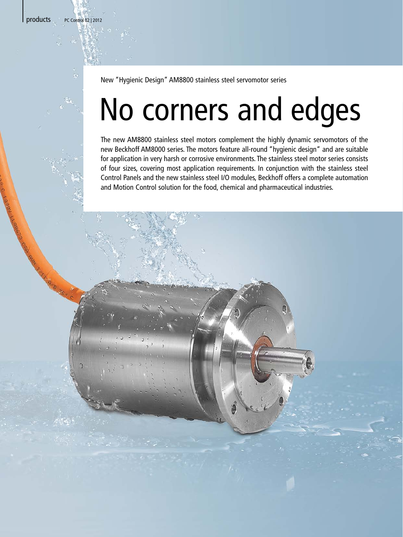products PC Control 02 | 2012

New "Hygienic Design" AM8800 stainless steel servomotor series

## No corners and edges

The new AM8800 stainless steel motors complement the highly dynamic servomotors of the new Beckhoff AM8000 series. The motors feature all-round "hygienic design" and are suitable for application in very harsh or corrosive environments. The stainless steel motor series consists of four sizes, covering most application requirements. In conjunction with the stainless steel Control Panels and the new stainless steel I/O modules, Beckhoff offers a complete automation and Motion Control solution for the food, chemical and pharmaceutical industries.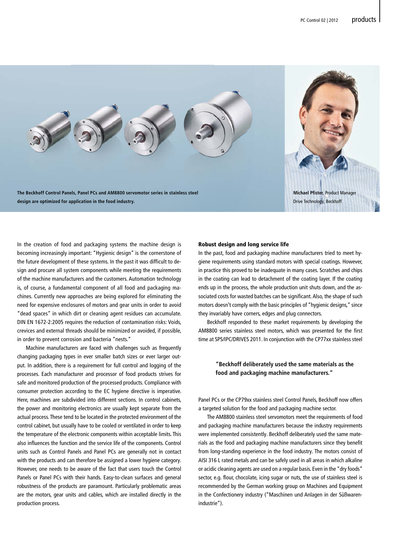

In the creation of food and packaging systems the machine design is becoming increasingly important: "Hygienic design" is the cornerstone of the future development of these systems. In the past it was difficult to design and procure all system components while meeting the requirements of the machine manufacturers and the customers. Automation technology is, of course, a fundamental component of all food and packaging machines. Currently new approaches are being explored for eliminating the need for expensive enclosures of motors and gear units in order to avoid "dead spaces" in which dirt or cleaning agent residues can accumulate. DIN EN 1672-2:2005 requires the reduction of contamination risks: Voids, crevices and external threads should be minimized or avoided, if possible, in order to prevent corrosion and bacteria "nests."

 Machine manufacturers are faced with challenges such as frequently changing packaging types in ever smaller batch sizes or ever larger output. In addition, there is a requirement for full control and logging of the processes. Each manufacturer and processor of food products strives for safe and monitored production of the processed products. Compliance with consumer protection according to the EC hygiene directive is imperative. Here, machines are subdivided into different sections. In control cabinets, the power and monitoring electronics are usually kept separate from the actual process. These tend to be located in the protected environment of the control cabinet, but usually have to be cooled or ventilated in order to keep the temperature of the electronic components within acceptable limits. This also influences the function and the service life of the components. Control units such as Control Panels and Panel PCs are generally not in contact with the products and can therefore be assigned a lower hygiene category. However, one needs to be aware of the fact that users touch the Control Panels or Panel PCs with their hands. Easy-to-clean surfaces and general robustness of the products are paramount. Particularly problematic areas are the motors, gear units and cables, which are installed directly in the production process.

## Robust design and long service life

In the past, food and packaging machine manufacturers tried to meet hygiene requirements using standard motors with special coatings. However, in practice this proved to be inadequate in many cases. Scratches and chips in the coating can lead to detachment of the coating layer. If the coating ends up in the process, the whole production unit shuts down, and the associated costs for wasted batches can be significant. Also, the shape of such motors doesn't comply with the basic principles of "hygienic designs," since they invariably have corners, edges and plug connectors.

 Beckhoff responded to these market requirements by developing the AM8800 series stainless steel motors, which was presented for the first time at SPS/IPC/DRIVES 2011. In conjunction with the CP77xx stainless steel

## **"Beckhoff deliberately used the same materials as the food and packaging machine manufacturers."**

Panel PCs or the CP79xx stainless steel Control Panels, Beckhoff now offers a targeted solution for the food and packaging machine sector.

 The AM8800 stainless steel servomotors meet the requirements of food and packaging machine manufacturers because the industry requirements were implemented consistently. Beckhoff deliberately used the same materials as the food and packaging machine manufacturers since they benefit from long-standing experience in the food industry. The motors consist of AISI 316 L rated metals and can be safely used in all areas in which alkaline or acidic cleaning agents are used on a regular basis. Even in the "dry foods" sector, e.g. flour, chocolate, icing sugar or nuts, the use of stainless steel is recommended by the German working group on Machines and Equipment in the Confectionery industry ("Maschinen und Anlagen in der Süßwarenindustrie").